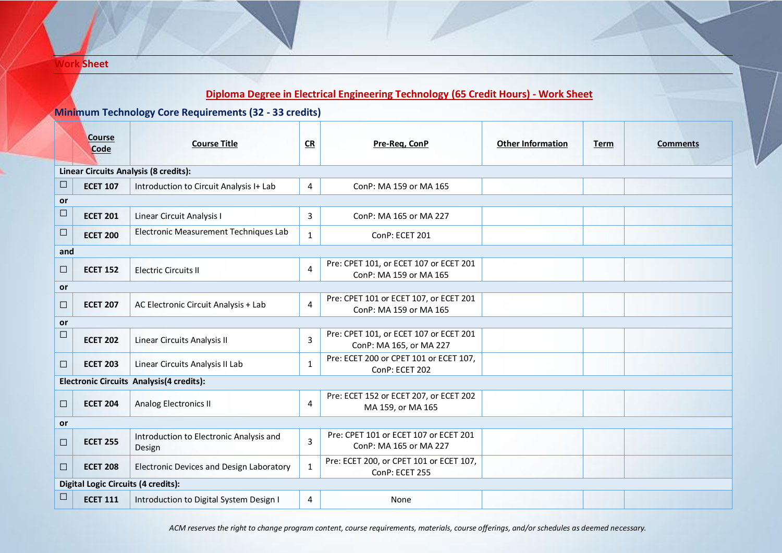## **Work Sheet**

| Diploma Degree in Electrical Engineering Technology (65 Credit Hours) - Work Sheet |                       |                                                   |                |                                                                   |                          |      |                 |  |  |  |
|------------------------------------------------------------------------------------|-----------------------|---------------------------------------------------|----------------|-------------------------------------------------------------------|--------------------------|------|-----------------|--|--|--|
| <b>Minimum Technology Core Requirements (32 - 33 credits)</b>                      |                       |                                                   |                |                                                                   |                          |      |                 |  |  |  |
|                                                                                    | <b>Course</b><br>Code | <b>Course Title</b>                               | CR             | Pre-Req, ConP                                                     | <b>Other Information</b> | Term | <b>Comments</b> |  |  |  |
| Linear Circuits Analysis (8 credits):                                              |                       |                                                   |                |                                                                   |                          |      |                 |  |  |  |
| $\Box$                                                                             | <b>ECET 107</b>       | Introduction to Circuit Analysis I+ Lab           | 4              | ConP: MA 159 or MA 165                                            |                          |      |                 |  |  |  |
| or                                                                                 |                       |                                                   |                |                                                                   |                          |      |                 |  |  |  |
| $\Box$                                                                             | <b>ECET 201</b>       | Linear Circuit Analysis I                         | $\mathbf{3}$   | ConP: MA 165 or MA 227                                            |                          |      |                 |  |  |  |
| $\Box$                                                                             | <b>ECET 200</b>       | Electronic Measurement Techniques Lab             | $\mathbf{1}$   | ConP: ECET 201                                                    |                          |      |                 |  |  |  |
| and                                                                                |                       |                                                   |                |                                                                   |                          |      |                 |  |  |  |
| $\Box$                                                                             | <b>ECET 152</b>       | <b>Electric Circuits II</b>                       | 4              | Pre: CPET 101, or ECET 107 or ECET 201<br>ConP: MA 159 or MA 165  |                          |      |                 |  |  |  |
| or                                                                                 |                       |                                                   |                |                                                                   |                          |      |                 |  |  |  |
| $\Box$                                                                             | <b>ECET 207</b>       | AC Electronic Circuit Analysis + Lab              | $\overline{4}$ | Pre: CPET 101 or ECET 107, or ECET 201<br>ConP: MA 159 or MA 165  |                          |      |                 |  |  |  |
| or                                                                                 |                       |                                                   |                |                                                                   |                          |      |                 |  |  |  |
| $\Box$                                                                             | <b>ECET 202</b>       | Linear Circuits Analysis II                       | $\mathbf{3}$   | Pre: CPET 101, or ECET 107 or ECET 201<br>ConP: MA 165, or MA 227 |                          |      |                 |  |  |  |
| $\Box$                                                                             | <b>ECET 203</b>       | Linear Circuits Analysis II Lab                   | $\mathbf{1}$   | Pre: ECET 200 or CPET 101 or ECET 107,<br>ConP: ECET 202          |                          |      |                 |  |  |  |
|                                                                                    |                       | Electronic Circuits Analysis(4 credits):          |                |                                                                   |                          |      |                 |  |  |  |
| $\Box$                                                                             | <b>ECET 204</b>       | Analog Electronics II                             | 4              | Pre: ECET 152 or ECET 207, or ECET 202<br>MA 159, or MA 165       |                          |      |                 |  |  |  |
| or                                                                                 |                       |                                                   |                |                                                                   |                          |      |                 |  |  |  |
| □                                                                                  | <b>ECET 255</b>       | Introduction to Electronic Analysis and<br>Design | $\overline{3}$ | Pre: CPET 101 or ECET 107 or ECET 201<br>ConP: MA 165 or MA 227   |                          |      |                 |  |  |  |
| $\Box$                                                                             | <b>ECET 208</b>       | Electronic Devices and Design Laboratory          | $\mathbf{1}$   | Pre: ECET 200, or CPET 101 or ECET 107,<br>ConP: ECET 255         |                          |      |                 |  |  |  |
|                                                                                    |                       | <b>Digital Logic Circuits (4 credits):</b>        |                |                                                                   |                          |      |                 |  |  |  |
| $\Box$                                                                             | <b>ECET 111</b>       | Introduction to Digital System Design I           | 4              | None                                                              |                          |      |                 |  |  |  |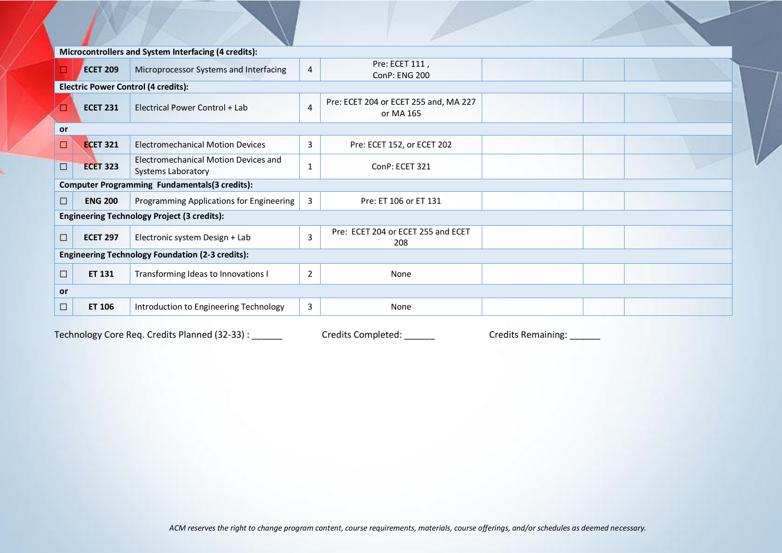| Microcontrollers and System Interfacing (4 credits): |                 |                                                                   |                |                                                    |  |  |  |  |  |  |
|------------------------------------------------------|-----------------|-------------------------------------------------------------------|----------------|----------------------------------------------------|--|--|--|--|--|--|
| п                                                    | <b>ECET 209</b> | Microprocessor Systems and Interfacing                            | $\overline{4}$ | Pre: ECET 111,<br>ConP: ENG 200                    |  |  |  |  |  |  |
| <b>Electric Power Control (4 credits):</b>           |                 |                                                                   |                |                                                    |  |  |  |  |  |  |
| О                                                    | <b>ECET 231</b> | Electrical Power Control + Lab                                    | $\overline{4}$ | Pre: ECET 204 or ECET 255 and, MA 227<br>or MA 165 |  |  |  |  |  |  |
| or                                                   |                 |                                                                   |                |                                                    |  |  |  |  |  |  |
| □                                                    | <b>ECET 321</b> | <b>Electromechanical Motion Devices</b>                           | 3              | Pre: ECET 152, or ECET 202                         |  |  |  |  |  |  |
| $\Box$                                               | <b>ECET 323</b> | Electromechanical Motion Devices and<br><b>Systems Laboratory</b> | $\mathbf{1}$   | ConP: ECET 321                                     |  |  |  |  |  |  |
|                                                      |                 | <b>Computer Programming Fundamentals(3 credits):</b>              |                |                                                    |  |  |  |  |  |  |
| $\Box$                                               | <b>ENG 200</b>  | Programming Applications for Engineering                          | 3              | Pre: ET 106 or ET 131                              |  |  |  |  |  |  |
|                                                      |                 | <b>Engineering Technology Project (3 credits):</b>                |                |                                                    |  |  |  |  |  |  |
| $\Box$                                               | <b>ECET 297</b> | Electronic system Design + Lab                                    | $\overline{3}$ | Pre: ECET 204 or ECET 255 and ECET<br>208          |  |  |  |  |  |  |
|                                                      |                 | <b>Engineering Technology Foundation (2-3 credits):</b>           |                |                                                    |  |  |  |  |  |  |
| $\Box$                                               | ET 131          | Transforming Ideas to Innovations I                               | $\overline{2}$ | None                                               |  |  |  |  |  |  |
| or                                                   |                 |                                                                   |                |                                                    |  |  |  |  |  |  |
| □                                                    | ET 106          | Introduction to Engineering Technology                            | 3              | None                                               |  |  |  |  |  |  |
|                                                      |                 |                                                                   |                |                                                    |  |  |  |  |  |  |

Technology Core Req. Credits Planned (32-33) : \_\_\_\_\_\_\_ Credits Completed: \_\_\_\_\_\_ Credits Remaining: \_\_\_\_\_\_

*ACM reserves the right to change program content, course requirements, materials, course offerings, and/or schedules as deemed necessary.*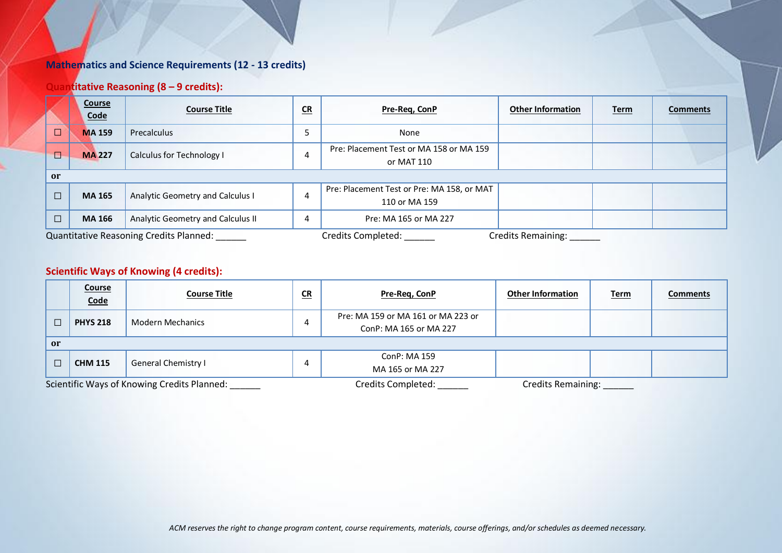## **Mathematics and Science Requirements (12 - 13 credits)**

## **Quantitative Reasoning (8 – 9 credits):**

|                                         | <b>Course</b><br>Code | <b>Course Title</b>               | $CR$ | Pre-Req, ConP                                               | <b>Other Information</b>  | <b>Term</b> | <b>Comments</b> |
|-----------------------------------------|-----------------------|-----------------------------------|------|-------------------------------------------------------------|---------------------------|-------------|-----------------|
| $\Box$                                  | <b>MA 159</b>         | Precalculus                       | 5    | None                                                        |                           |             |                 |
| □                                       | <b>MA 227</b>         | Calculus for Technology I         | 4    | Pre: Placement Test or MA 158 or MA 159<br>or MAT 110       |                           |             |                 |
| <sub>or</sub>                           |                       |                                   |      |                                                             |                           |             |                 |
| $\Box$                                  | <b>MA 165</b>         | Analytic Geometry and Calculus I  | 4    | Pre: Placement Test or Pre: MA 158, or MAT<br>110 or MA 159 |                           |             |                 |
| $\Box$                                  | <b>MA 166</b>         | Analytic Geometry and Calculus II | 4    | Pre: MA 165 or MA 227                                       |                           |             |                 |
| Quantitative Reasoning Credits Planned: |                       |                                   |      | <b>Credits Completed:</b>                                   | <b>Credits Remaining:</b> |             |                 |

# **Scientific Ways of Knowing (4 credits):**

|                                             | <b>Course</b><br>Code                        | <b>Course Title</b> | $CR$                               | Pre-Reg, ConP             | <b>Other Information</b> | <u>Term</u> | <b>Comments</b> |
|---------------------------------------------|----------------------------------------------|---------------------|------------------------------------|---------------------------|--------------------------|-------------|-----------------|
| Г                                           | <b>Modern Mechanics</b><br><b>PHYS 218</b>   | 4                   | Pre: MA 159 or MA 161 or MA 223 or |                           |                          |             |                 |
|                                             |                                              |                     |                                    | ConP: MA 165 or MA 227    |                          |             |                 |
| or                                          |                                              |                     |                                    |                           |                          |             |                 |
| $\Box$                                      | <b>General Chemistry I</b><br><b>CHM 115</b> | 4                   | ConP: MA 159                       |                           |                          |             |                 |
|                                             |                                              |                     | MA 165 or MA 227                   |                           |                          |             |                 |
| Scientific Ways of Knowing Credits Planned: |                                              |                     | Credits Completed:                 | <b>Credits Remaining:</b> |                          |             |                 |